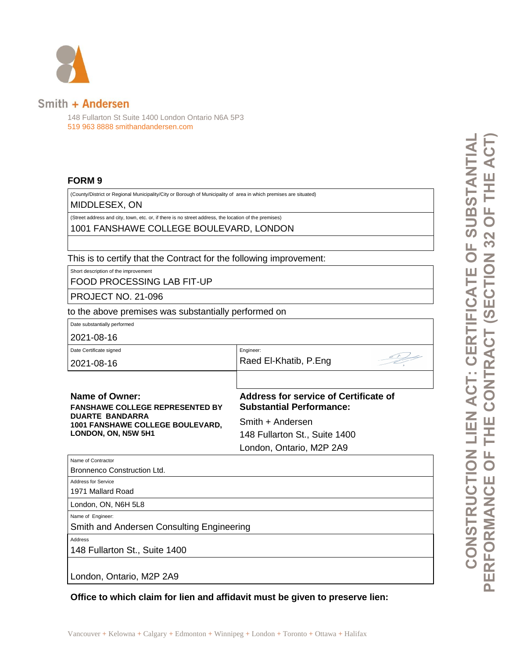

## Smith + Andersen

148 Fullarton St Suite 1400 London Ontario N6A 5P3 519 963 8888 smithandandersen.com

## **FORM 9**

(County/District or Regional Municipality/City or Borough of Municipality of area in which premises are situated)

MIDDLESEX, ON

(Street address and city, town, etc. or, if there is no street address, the location of the premises) 1001 FANSHAWE COLLEGE BOULEVARD, LONDON

This is to certify that the Contract for the following improvement:

Short description of the improvement

FOOD PROCESSING LAB FIT-UP

PROJECT NO. 21-096

to the above premises was substantially performed on

Date substantially performed

2021-08-16

Date Certificate signed

2021-08-16

Name of Contractor

Address for Service

Raed El-Khatib, P.Eng

Engineer:

**Name of Owner: FANSHAWE COLLEGE REPRESENTED BY DUARTE BANDARRA 1001 FANSHAWE COLLEGE BOULEVARD, LONDON, ON, N5W 5H1**

**Address for service of Certificate of Substantial Performance:**

Smith + Andersen 148 Fullarton St., Suite 1400 London, Ontario, M2P 2A9

Bronnenco Construction Ltd. 1971 Mallard Road London, ON, N6H 5L8

Name of Engineer:

Smith and Andersen Consulting Engineering

Address

148 Fullarton St., Suite 1400

London, Ontario, M2P 2A9

**Office to which claim for lien and affidavit must be given to preserve lien:**